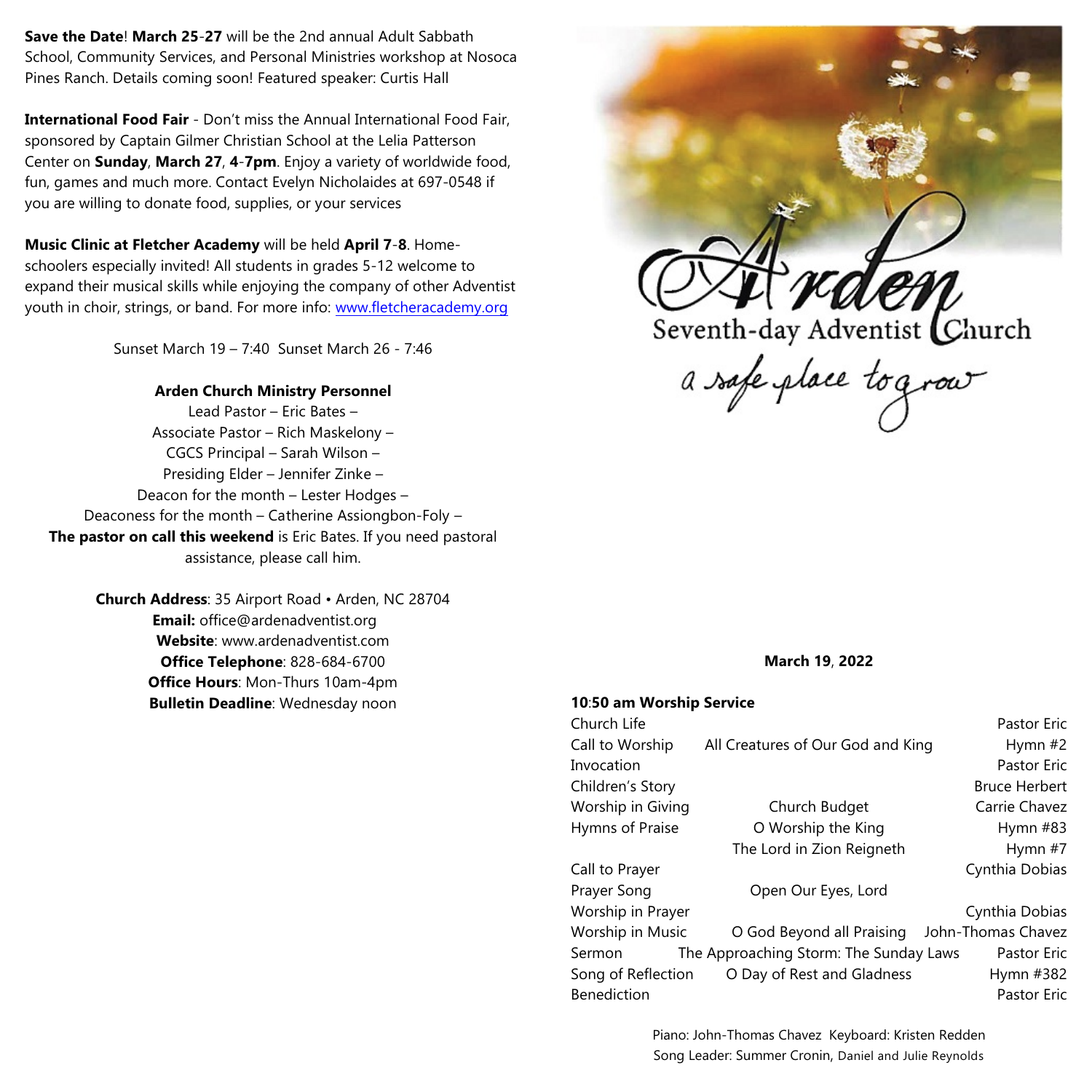**Save the Date**! **March 25**-**27** will be the 2nd annual Adult Sabbath School, Community Services, and Personal Ministries workshop at Nosoca Pines Ranch. Details coming soon! Featured speaker: Curtis Hall

**International Food Fair** - Don't miss the Annual International Food Fair, sponsored by Captain Gilmer Christian School at the Lelia Patterson Center on **Sunday**, **March 27**, **4**-**7pm**. Enjoy a variety of worldwide food, fun, games and much more. Contact Evelyn Nicholaides at 697-0548 if you are willing to donate food, supplies, or your services

**Music Clinic at Fletcher Academy** will be held **April 7**-**8**. Homeschoolers especially invited! All students in grades 5-12 welcome to expand their musical skills while enjoying the company of other Adventist youth in choir, strings, or band. For more info: [www.fletcheracademy.org](http://www.fletcheracademy.org)

Sunset March 19 – 7:40 Sunset March 26 - 7:46

#### **Arden Church Ministry Personnel**

Lead Pastor – Eric Bates – Associate Pastor – Rich Maskelony – CGCS Principal – Sarah Wilson – Presiding Elder – Jennifer Zinke – Deacon for the month – Lester Hodges – Deaconess for the month – Catherine Assiongbon-Foly – **The pastor on call this weekend** is Eric Bates. If you need pastoral assistance, please call him.

> **Church Address**: 35 Airport Road • Arden, NC 28704 **Email:** office@ardenadventist.org **Website**: www.ardenadventist.com **Office Telephone**: 828-684-6700 **Office Hours**: Mon-Thurs 10am-4pm **Bulletin Deadline**: Wednesday noon



**March 19**, **2022**

#### **10**:**50 am Worship Service**

|                                        | <b>Pastor Eric</b>   |
|----------------------------------------|----------------------|
| All Creatures of Our God and King      | Hymn $#2$            |
|                                        | <b>Pastor Eric</b>   |
|                                        | <b>Bruce Herbert</b> |
| Church Budget                          | Carrie Chavez        |
| O Worship the King                     | Hymn $#83$           |
| The Lord in Zion Reigneth              | Hymn #7              |
|                                        | Cynthia Dobias       |
| Open Our Eyes, Lord                    |                      |
|                                        | Cynthia Dobias       |
| O God Beyond all Praising              | John-Thomas Chavez   |
| The Approaching Storm: The Sunday Laws | Pastor Eric          |
| O Day of Rest and Gladness             | Hymn #382            |
|                                        | Pastor Eric          |
|                                        |                      |

Piano: John-Thomas Chavez Keyboard: Kristen Redden Song Leader: Summer Cronin, Daniel and Julie Reynolds